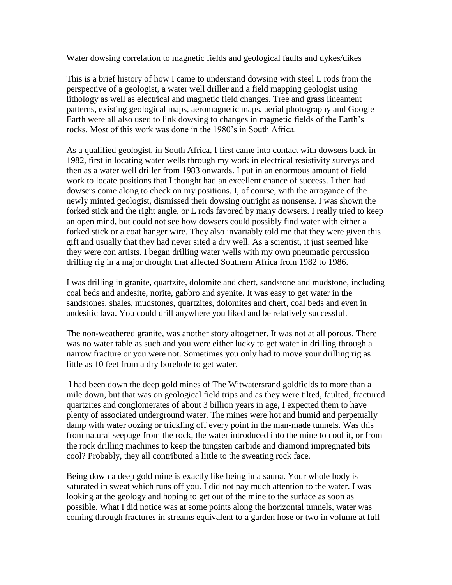Water dowsing correlation to magnetic fields and geological faults and dykes/dikes

This is a brief history of how I came to understand dowsing with steel L rods from the perspective of a geologist, a water well driller and a field mapping geologist using lithology as well as electrical and magnetic field changes. Tree and grass lineament patterns, existing geological maps, aeromagnetic maps, aerial photography and Google Earth were all also used to link dowsing to changes in magnetic fields of the Earth's rocks. Most of this work was done in the 1980's in South Africa.

As a qualified geologist, in South Africa, I first came into contact with dowsers back in 1982, first in locating water wells through my work in electrical resistivity surveys and then as a water well driller from 1983 onwards. I put in an enormous amount of field work to locate positions that I thought had an excellent chance of success. I then had dowsers come along to check on my positions. I, of course, with the arrogance of the newly minted geologist, dismissed their dowsing outright as nonsense. I was shown the forked stick and the right angle, or L rods favored by many dowsers. I really tried to keep an open mind, but could not see how dowsers could possibly find water with either a forked stick or a coat hanger wire. They also invariably told me that they were given this gift and usually that they had never sited a dry well. As a scientist, it just seemed like they were con artists. I began drilling water wells with my own pneumatic percussion drilling rig in a major drought that affected Southern Africa from 1982 to 1986.

I was drilling in granite, quartzite, dolomite and chert, sandstone and mudstone, including coal beds and andesite, norite, gabbro and syenite. It was easy to get water in the sandstones, shales, mudstones, quartzites, dolomites and chert, coal beds and even in andesitic lava. You could drill anywhere you liked and be relatively successful.

The non-weathered granite, was another story altogether. It was not at all porous. There was no water table as such and you were either lucky to get water in drilling through a narrow fracture or you were not. Sometimes you only had to move your drilling rig as little as 10 feet from a dry borehole to get water.

I had been down the deep gold mines of The Witwatersrand goldfields to more than a mile down, but that was on geological field trips and as they were tilted, faulted, fractured quartzites and conglomerates of about 3 billion years in age, I expected them to have plenty of associated underground water. The mines were hot and humid and perpetually damp with water oozing or trickling off every point in the man-made tunnels. Was this from natural seepage from the rock, the water introduced into the mine to cool it, or from the rock drilling machines to keep the tungsten carbide and diamond impregnated bits cool? Probably, they all contributed a little to the sweating rock face.

Being down a deep gold mine is exactly like being in a sauna. Your whole body is saturated in sweat which runs off you. I did not pay much attention to the water. I was looking at the geology and hoping to get out of the mine to the surface as soon as possible. What I did notice was at some points along the horizontal tunnels, water was coming through fractures in streams equivalent to a garden hose or two in volume at full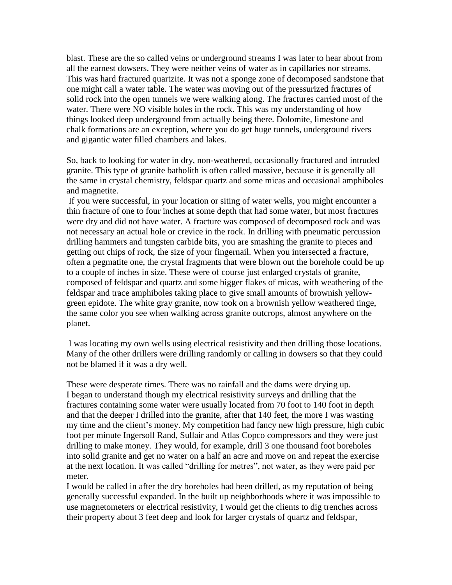blast. These are the so called veins or underground streams I was later to hear about from all the earnest dowsers. They were neither veins of water as in capillaries nor streams. This was hard fractured quartzite. It was not a sponge zone of decomposed sandstone that one might call a water table. The water was moving out of the pressurized fractures of solid rock into the open tunnels we were walking along. The fractures carried most of the water. There were NO visible holes in the rock. This was my understanding of how things looked deep underground from actually being there. Dolomite, limestone and chalk formations are an exception, where you do get huge tunnels, underground rivers and gigantic water filled chambers and lakes.

So, back to looking for water in dry, non-weathered, occasionally fractured and intruded granite. This type of granite batholith is often called massive, because it is generally all the same in crystal chemistry, feldspar quartz and some micas and occasional amphiboles and magnetite.

If you were successful, in your location or siting of water wells, you might encounter a thin fracture of one to four inches at some depth that had some water, but most fractures were dry and did not have water. A fracture was composed of decomposed rock and was not necessary an actual hole or crevice in the rock. In drilling with pneumatic percussion drilling hammers and tungsten carbide bits, you are smashing the granite to pieces and getting out chips of rock, the size of your fingernail. When you intersected a fracture, often a pegmatite one, the crystal fragments that were blown out the borehole could be up to a couple of inches in size. These were of course just enlarged crystals of granite, composed of feldspar and quartz and some bigger flakes of micas, with weathering of the feldspar and trace amphiboles taking place to give small amounts of brownish yellowgreen epidote. The white gray granite, now took on a brownish yellow weathered tinge, the same color you see when walking across granite outcrops, almost anywhere on the planet.

I was locating my own wells using electrical resistivity and then drilling those locations. Many of the other drillers were drilling randomly or calling in dowsers so that they could not be blamed if it was a dry well.

These were desperate times. There was no rainfall and the dams were drying up. I began to understand though my electrical resistivity surveys and drilling that the fractures containing some water were usually located from 70 foot to 140 foot in depth and that the deeper I drilled into the granite, after that 140 feet, the more I was wasting my time and the client's money. My competition had fancy new high pressure, high cubic foot per minute Ingersoll Rand, Sullair and Atlas Copco compressors and they were just drilling to make money. They would, for example, drill 3 one thousand foot boreholes into solid granite and get no water on a half an acre and move on and repeat the exercise at the next location. It was called "drilling for metres", not water, as they were paid per meter.

I would be called in after the dry boreholes had been drilled, as my reputation of being generally successful expanded. In the built up neighborhoods where it was impossible to use magnetometers or electrical resistivity, I would get the clients to dig trenches across their property about 3 feet deep and look for larger crystals of quartz and feldspar,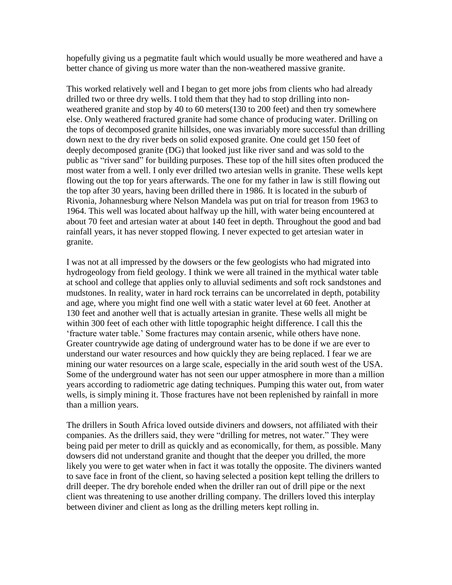hopefully giving us a pegmatite fault which would usually be more weathered and have a better chance of giving us more water than the non-weathered massive granite.

This worked relatively well and I began to get more jobs from clients who had already drilled two or three dry wells. I told them that they had to stop drilling into nonweathered granite and stop by 40 to 60 meters(130 to 200 feet) and then try somewhere else. Only weathered fractured granite had some chance of producing water. Drilling on the tops of decomposed granite hillsides, one was invariably more successful than drilling down next to the dry river beds on solid exposed granite. One could get 150 feet of deeply decomposed granite (DG) that looked just like river sand and was sold to the public as "river sand" for building purposes. These top of the hill sites often produced the most water from a well. I only ever drilled two artesian wells in granite. These wells kept flowing out the top for years afterwards. The one for my father in law is still flowing out the top after 30 years, having been drilled there in 1986. It is located in the suburb of Rivonia, Johannesburg where Nelson Mandela was put on trial for treason from 1963 to 1964. This well was located about halfway up the hill, with water being encountered at about 70 feet and artesian water at about 140 feet in depth. Throughout the good and bad rainfall years, it has never stopped flowing. I never expected to get artesian water in granite.

I was not at all impressed by the dowsers or the few geologists who had migrated into hydrogeology from field geology. I think we were all trained in the mythical water table at school and college that applies only to alluvial sediments and soft rock sandstones and mudstones. In reality, water in hard rock terrains can be uncorrelated in depth, potability and age, where you might find one well with a static water level at 60 feet. Another at 130 feet and another well that is actually artesian in granite. These wells all might be within 300 feet of each other with little topographic height difference. I call this the 'fracture water table.' Some fractures may contain arsenic, while others have none. Greater countrywide age dating of underground water has to be done if we are ever to understand our water resources and how quickly they are being replaced. I fear we are mining our water resources on a large scale, especially in the arid south west of the USA. Some of the underground water has not seen our upper atmosphere in more than a million years according to radiometric age dating techniques. Pumping this water out, from water wells, is simply mining it. Those fractures have not been replenished by rainfall in more than a million years.

The drillers in South Africa loved outside diviners and dowsers, not affiliated with their companies. As the drillers said, they were "drilling for metres, not water." They were being paid per meter to drill as quickly and as economically, for them, as possible. Many dowsers did not understand granite and thought that the deeper you drilled, the more likely you were to get water when in fact it was totally the opposite. The diviners wanted to save face in front of the client, so having selected a position kept telling the drillers to drill deeper. The dry borehole ended when the driller ran out of drill pipe or the next client was threatening to use another drilling company. The drillers loved this interplay between diviner and client as long as the drilling meters kept rolling in.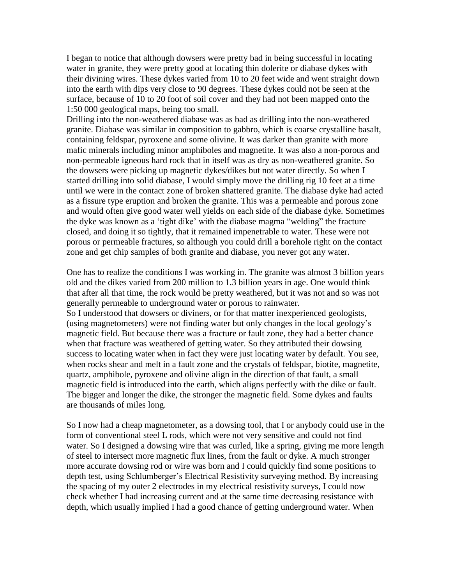I began to notice that although dowsers were pretty bad in being successful in locating water in granite, they were pretty good at locating thin dolerite or diabase dykes with their divining wires. These dykes varied from 10 to 20 feet wide and went straight down into the earth with dips very close to 90 degrees. These dykes could not be seen at the surface, because of 10 to 20 foot of soil cover and they had not been mapped onto the 1:50 000 geological maps, being too small.

Drilling into the non-weathered diabase was as bad as drilling into the non-weathered granite. Diabase was similar in composition to gabbro, which is coarse crystalline basalt, containing feldspar, pyroxene and some olivine. It was darker than granite with more mafic minerals including minor amphiboles and magnetite. It was also a non-porous and non-permeable igneous hard rock that in itself was as dry as non-weathered granite. So the dowsers were picking up magnetic dykes/dikes but not water directly. So when I started drilling into solid diabase, I would simply move the drilling rig 10 feet at a time until we were in the contact zone of broken shattered granite. The diabase dyke had acted as a fissure type eruption and broken the granite. This was a permeable and porous zone and would often give good water well yields on each side of the diabase dyke. Sometimes the dyke was known as a 'tight dike' with the diabase magma "welding" the fracture closed, and doing it so tightly, that it remained impenetrable to water. These were not porous or permeable fractures, so although you could drill a borehole right on the contact zone and get chip samples of both granite and diabase, you never got any water.

One has to realize the conditions I was working in. The granite was almost 3 billion years old and the dikes varied from 200 million to 1.3 billion years in age. One would think that after all that time, the rock would be pretty weathered, but it was not and so was not generally permeable to underground water or porous to rainwater. So I understood that dowsers or diviners, or for that matter inexperienced geologists, (using magnetometers) were not finding water but only changes in the local geology's magnetic field. But because there was a fracture or fault zone, they had a better chance when that fracture was weathered of getting water. So they attributed their dowsing success to locating water when in fact they were just locating water by default. You see, when rocks shear and melt in a fault zone and the crystals of feldspar, biotite, magnetite, quartz, amphibole, pyroxene and olivine align in the direction of that fault, a small magnetic field is introduced into the earth, which aligns perfectly with the dike or fault. The bigger and longer the dike, the stronger the magnetic field. Some dykes and faults are thousands of miles long.

So I now had a cheap magnetometer, as a dowsing tool, that I or anybody could use in the form of conventional steel L rods, which were not very sensitive and could not find water. So I designed a dowsing wire that was curled, like a spring, giving me more length of steel to intersect more magnetic flux lines, from the fault or dyke. A much stronger more accurate dowsing rod or wire was born and I could quickly find some positions to depth test, using Schlumberger's Electrical Resistivity surveying method. By increasing the spacing of my outer 2 electrodes in my electrical resistivity surveys, I could now check whether I had increasing current and at the same time decreasing resistance with depth, which usually implied I had a good chance of getting underground water. When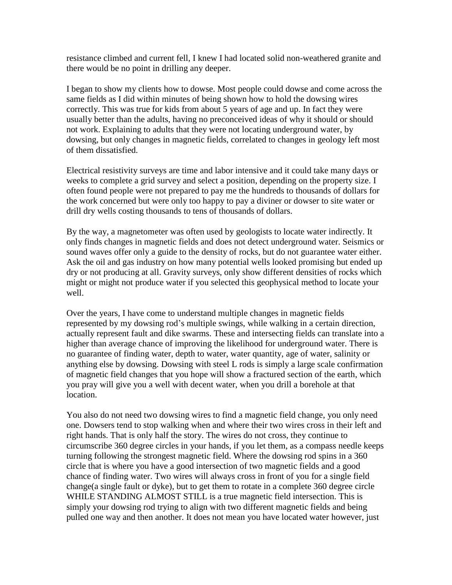resistance climbed and current fell, I knew I had located solid non-weathered granite and there would be no point in drilling any deeper.

I began to show my clients how to dowse. Most people could dowse and come across the same fields as I did within minutes of being shown how to hold the dowsing wires correctly. This was true for kids from about 5 years of age and up. In fact they were usually better than the adults, having no preconceived ideas of why it should or should not work. Explaining to adults that they were not locating underground water, by dowsing, but only changes in magnetic fields, correlated to changes in geology left most of them dissatisfied.

Electrical resistivity surveys are time and labor intensive and it could take many days or weeks to complete a grid survey and select a position, depending on the property size. I often found people were not prepared to pay me the hundreds to thousands of dollars for the work concerned but were only too happy to pay a diviner or dowser to site water or drill dry wells costing thousands to tens of thousands of dollars.

By the way, a magnetometer was often used by geologists to locate water indirectly. It only finds changes in magnetic fields and does not detect underground water. Seismics or sound waves offer only a guide to the density of rocks, but do not guarantee water either. Ask the oil and gas industry on how many potential wells looked promising but ended up dry or not producing at all. Gravity surveys, only show different densities of rocks which might or might not produce water if you selected this geophysical method to locate your well.

Over the years, I have come to understand multiple changes in magnetic fields represented by my dowsing rod's multiple swings, while walking in a certain direction, actually represent fault and dike swarms. These and intersecting fields can translate into a higher than average chance of improving the likelihood for underground water. There is no guarantee of finding water, depth to water, water quantity, age of water, salinity or anything else by dowsing. Dowsing with steel L rods is simply a large scale confirmation of magnetic field changes that you hope will show a fractured section of the earth, which you pray will give you a well with decent water, when you drill a borehole at that location.

You also do not need two dowsing wires to find a magnetic field change, you only need one. Dowsers tend to stop walking when and where their two wires cross in their left and right hands. That is only half the story. The wires do not cross, they continue to circumscribe 360 degree circles in your hands, if you let them, as a compass needle keeps turning following the strongest magnetic field. Where the dowsing rod spins in a 360 circle that is where you have a good intersection of two magnetic fields and a good chance of finding water. Two wires will always cross in front of you for a single field change(a single fault or dyke), but to get them to rotate in a complete 360 degree circle WHILE STANDING ALMOST STILL is a true magnetic field intersection. This is simply your dowsing rod trying to align with two different magnetic fields and being pulled one way and then another. It does not mean you have located water however, just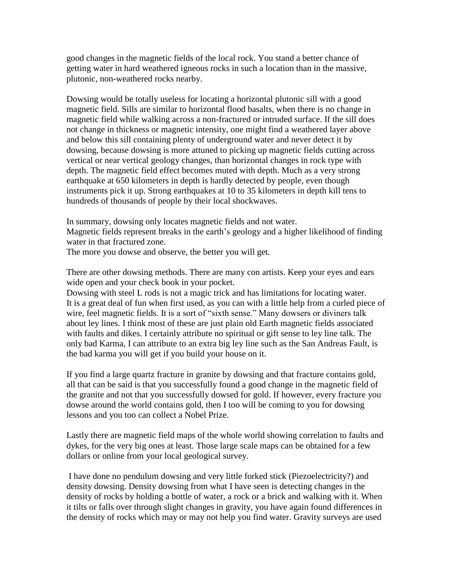good changes in the magnetic fields of the local rock. You stand a better chance of getting water in hard weathered igneous rocks in such a location than in the massive, plutonic, non-weathered rocks nearby.

Dowsing would be totally useless for locating a horizontal plutonic sill with a good magnetic field. Sills are similar to horizontal flood basalts, when there is no change in magnetic field while walking across a non-fractured or intruded surface. If the sill does not change in thickness or magnetic intensity, one might find a weathered layer above and below this sill containing plenty of underground water and never detect it by dowsing, because dowsing is more attuned to picking up magnetic fields cutting across vertical or near vertical geology changes, than horizontal changes in rock type with depth. The magnetic field effect becomes muted with depth. Much as a very strong earthquake at 650 kilometers in depth is hardly detected by people, even though instruments pick it up. Strong earthquakes at 10 to 35 kilometers in depth kill tens to hundreds of thousands of people by their local shockwaves.

In summary, dowsing only locates magnetic fields and not water. Magnetic fields represent breaks in the earth's geology and a higher likelihood of finding water in that fractured zone.

The more you dowse and observe, the better you will get.

There are other dowsing methods. There are many con artists. Keep your eyes and ears wide open and your check book in your pocket.

Dowsing with steel L rods is not a magic trick and has limitations for locating water. It is a great deal of fun when first used, as you can with a little help from a curled piece of wire, feel magnetic fields. It is a sort of "sixth sense." Many dowsers or diviners talk about ley lines. I think most of these are just plain old Earth magnetic fields associated with faults and dikes. I certainly attribute no spiritual or gift sense to ley line talk. The only bad Karma, I can attribute to an extra big ley line such as the San Andreas Fault, is the bad karma you will get if you build your house on it.

If you find a large quartz fracture in granite by dowsing and that fracture contains gold, all that can be said is that you successfully found a good change in the magnetic field of the granite and not that you successfully dowsed for gold. If however, every fracture you dowse around the world contains gold, then I too will be coming to you for dowsing lessons and you too can collect a Nobel Prize.

Lastly there are magnetic field maps of the whole world showing correlation to faults and dykes, for the very big ones at least. Those large scale maps can be obtained for a few dollars or online from your local geological survey.

I have done no pendulum dowsing and very little forked stick (Piezoelectricity?) and density dowsing. Density dowsing from what I have seen is detecting changes in the density of rocks by holding a bottle of water, a rock or a brick and walking with it. When it tilts or falls over through slight changes in gravity, you have again found differences in the density of rocks which may or may not help you find water. Gravity surveys are used